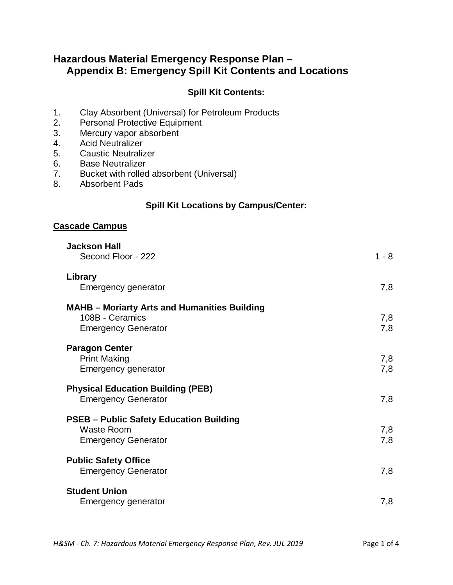# **Hazardous Material Emergency Response Plan – Appendix B: Emergency Spill Kit Contents and Locations**

## **Spill Kit Contents:**

- 1. Clay Absorbent (Universal) for Petroleum Products<br>2. Personal Protective Equipment
- Personal Protective Equipment
- 3. Mercury vapor absorbent
- 4. Acid Neutralizer
- 5. Caustic Neutralizer
- 6. Base Neutralizer
- 7. Bucket with rolled absorbent (Universal)
- 8. Absorbent Pads

# **Spill Kit Locations by Campus/Center:**

#### **Cascade Campus**

| <b>Jackson Hall</b><br>Second Floor - 222                                                            | $1 - 8$    |
|------------------------------------------------------------------------------------------------------|------------|
| Library<br>Emergency generator                                                                       | 7,8        |
| <b>MAHB - Moriarty Arts and Humanities Building</b><br>108B - Ceramics<br><b>Emergency Generator</b> | 7,8<br>7,8 |
| <b>Paragon Center</b><br><b>Print Making</b><br>Emergency generator                                  | 7,8<br>7,8 |
| <b>Physical Education Building (PEB)</b><br><b>Emergency Generator</b>                               | 7,8        |
| <b>PSEB - Public Safety Education Building</b><br><b>Waste Room</b><br><b>Emergency Generator</b>    | 7,8<br>7,8 |
| <b>Public Safety Office</b><br><b>Emergency Generator</b>                                            | 7,8        |
| <b>Student Union</b><br>Emergency generator                                                          | 7,8        |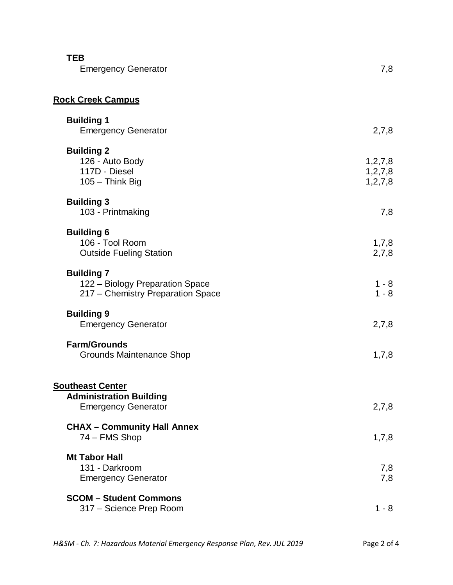| <b>TEB</b><br><b>Emergency Generator</b>                                                  | 7,8                                    |
|-------------------------------------------------------------------------------------------|----------------------------------------|
| <b>Rock Creek Campus</b>                                                                  |                                        |
| <b>Building 1</b><br><b>Emergency Generator</b>                                           | 2,7,8                                  |
| <b>Building 2</b><br>126 - Auto Body<br>117D - Diesel<br>105 - Think Big                  | 1, 2, 7, 8<br>1, 2, 7, 8<br>1, 2, 7, 8 |
| <b>Building 3</b><br>103 - Printmaking                                                    | 7,8                                    |
| <b>Building 6</b><br>106 - Tool Room<br><b>Outside Fueling Station</b>                    | 1,7,8<br>2,7,8                         |
| <b>Building 7</b><br>122 - Biology Preparation Space<br>217 - Chemistry Preparation Space | $1 - 8$<br>$1 - 8$                     |
| <b>Building 9</b><br><b>Emergency Generator</b>                                           | 2,7,8                                  |
| <b>Farm/Grounds</b><br><b>Grounds Maintenance Shop</b>                                    | 1,7,8                                  |
| <b>Southeast Center</b><br><b>Administration Building</b><br><b>Emergency Generator</b>   | 2,7,8                                  |
| <b>CHAX - Community Hall Annex</b><br>74 - FMS Shop                                       | 1,7,8                                  |
| <b>Mt Tabor Hall</b><br>131 - Darkroom<br><b>Emergency Generator</b>                      | 7,8<br>7,8                             |
| <b>SCOM - Student Commons</b><br>317 - Science Prep Room                                  | $1 - 8$                                |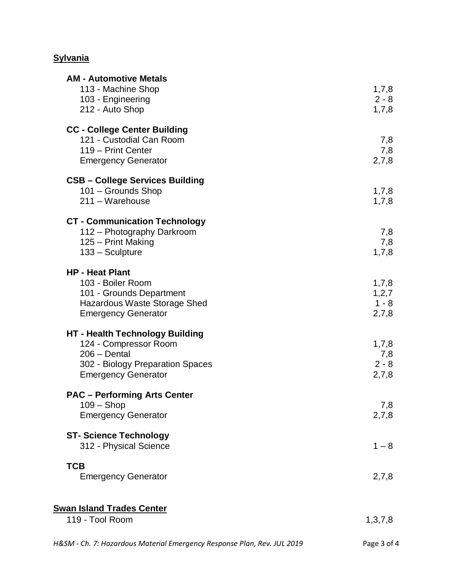# **Sylvania**

| <b>AM - Automotive Metals</b><br>113 - Machine Shop<br>103 - Engineering<br>212 - Auto Shop                                                         | 1,7,8<br>$2 - 8$<br>1,7,8          |
|-----------------------------------------------------------------------------------------------------------------------------------------------------|------------------------------------|
| <b>CC - College Center Building</b><br>121 - Custodial Can Room<br>119 - Print Center<br><b>Emergency Generator</b>                                 | 7,8<br>7,8<br>2,7,8                |
| <b>CSB - College Services Building</b><br>101 - Grounds Shop<br>211 - Warehouse                                                                     | 1,7,8<br>1,7,8                     |
| <b>CT - Communication Technology</b><br>112 - Photography Darkroom<br>125 - Print Making<br>133 - Sculpture                                         | 7,8<br>7,8<br>1,7,8                |
| <b>HP - Heat Plant</b><br>103 - Boiler Room<br>101 - Grounds Department<br><b>Hazardous Waste Storage Shed</b><br><b>Emergency Generator</b>        | 1,7,8<br>1,2,7<br>$1 - 8$<br>2,7,8 |
| <b>HT - Health Technology Building</b><br>124 - Compressor Room<br>$206 - Dental$<br>302 - Biology Preparation Spaces<br><b>Emergency Generator</b> | 1,7,8<br>7,8<br>$2 - 8$<br>2,7,8   |
| <b>PAC - Performing Arts Center</b><br>$109 -$ Shop<br><b>Emergency Generator</b>                                                                   | 7,8<br>2,7,8                       |
| <b>ST- Science Technology</b><br>312 - Physical Science                                                                                             | $1 - 8$                            |
| <b>TCB</b><br><b>Emergency Generator</b>                                                                                                            | 2,7,8                              |
| <b>Swan Island Trades Center</b><br>119 - Tool Room                                                                                                 | 1,3,7,8                            |
|                                                                                                                                                     |                                    |

| H&SM - Ch. 7: Hazardous Material Emergency Response Plan, Rev. JUL 2019 | Page 3 of 4 |
|-------------------------------------------------------------------------|-------------|
|-------------------------------------------------------------------------|-------------|